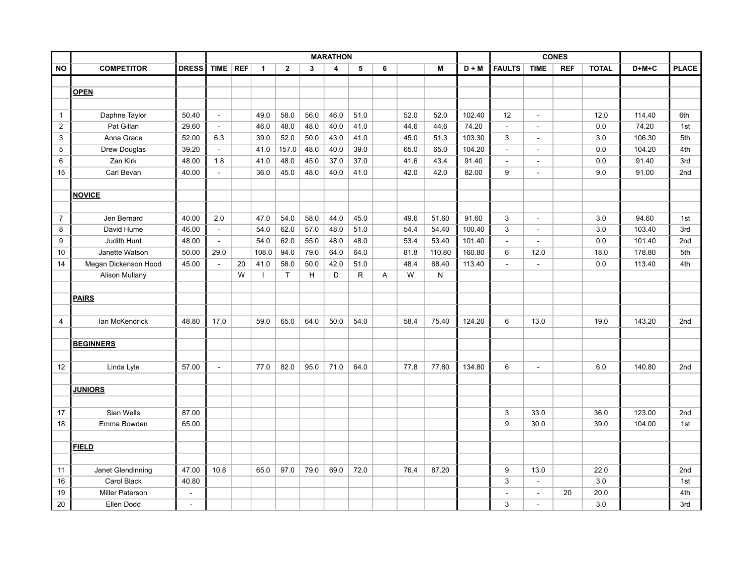|                 |                        |                          | <b>MARATHON</b> |    |       |                |      |      | <b>CONES</b> |   |      |        |         |                |                          |            |              |         |              |
|-----------------|------------------------|--------------------------|-----------------|----|-------|----------------|------|------|--------------|---|------|--------|---------|----------------|--------------------------|------------|--------------|---------|--------------|
| <b>NO</b>       | <b>COMPETITOR</b>      | <b>DRESS</b>             | TIME REF        |    | 1     | $\overline{2}$ | 3    | 4    | 5            | 6 |      | M      | $D + M$ | <b>FAULTS</b>  | <b>TIME</b>              | <b>REF</b> | <b>TOTAL</b> | $D+M+C$ | <b>PLACE</b> |
|                 |                        |                          |                 |    |       |                |      |      |              |   |      |        |         |                |                          |            |              |         |              |
|                 | <b>OPEN</b>            |                          |                 |    |       |                |      |      |              |   |      |        |         |                |                          |            |              |         |              |
|                 |                        |                          |                 |    |       |                |      |      |              |   |      |        |         |                |                          |            |              |         |              |
| $\mathbf{1}$    | Daphne Taylor          | 50.40                    | $\blacksquare$  |    | 49.0  | 58.0           | 56.0 | 46.0 | 51.0         |   | 52.0 | 52.0   | 102.40  | 12             | $\overline{\phantom{a}}$ |            | 12.0         | 114.40  | 6th          |
| $\overline{2}$  | Pat Gillan             | 29.60                    | $\sim$          |    | 46.0  | 48.0           | 48.0 | 40.0 | 41.0         |   | 44.6 | 44.6   | 74.20   | $\blacksquare$ | $\blacksquare$           |            | 0.0          | 74.20   | 1st          |
| $\mathfrak{S}$  | Anna Grace             | 52.00                    | 6.3             |    | 39.0  | 52.0           | 50.0 | 43.0 | 41.0         |   | 45.0 | 51.3   | 103.30  | $\mathbf{3}$   | $\blacksquare$           |            | 3.0          | 106.30  | 5th          |
| $5\phantom{.0}$ | Drew Douglas           | 39.20                    | $\blacksquare$  |    | 41.0  | 157.0          | 48.0 | 40.0 | 39.0         |   | 65.0 | 65.0   | 104.20  | $\sim$         | $\blacksquare$           |            | 0.0          | 104.20  | 4th          |
| 6               | Zan Kirk               | 48.00                    | 1.8             |    | 41.0  | 48.0           | 45.0 | 37.0 | 37.0         |   | 41.6 | 43.4   | 91.40   | $\sim$         | $\blacksquare$           |            | 0.0          | 91.40   | 3rd          |
| 15              | Carl Bevan             | 40.00                    | $\sim$          |    | 36.0  | 45.0           | 48.0 | 40.0 | 41.0         |   | 42.0 | 42.0   | 82.00   | 9              | $\blacksquare$           |            | 9.0          | 91.00   | 2nd          |
|                 |                        |                          |                 |    |       |                |      |      |              |   |      |        |         |                |                          |            |              |         |              |
|                 | <b>NOVICE</b>          |                          |                 |    |       |                |      |      |              |   |      |        |         |                |                          |            |              |         |              |
|                 |                        |                          |                 |    |       |                |      |      |              |   |      |        |         |                |                          |            |              |         |              |
| $\overline{7}$  | Jen Bernard            | 40.00                    | 2.0             |    | 47.0  | 54.0           | 58.0 | 44.0 | 45.0         |   | 49.6 | 51.60  | 91.60   | $\mathbf{3}$   | $\blacksquare$           |            | 3.0          | 94.60   | 1st          |
| 8               | David Hume             | 46.00                    | $\sim$          |    | 54.0  | 62.0           | 57.0 | 48.0 | 51.0         |   | 54.4 | 54.40  | 100.40  | 3              | $\overline{\phantom{a}}$ |            | 3.0          | 103.40  | 3rd          |
| 9               | Judith Hunt            | 48.00                    | $\sim$          |    | 54.0  | 62.0           | 55.0 | 48.0 | 48.0         |   | 53.4 | 53.40  | 101.40  | $\sim$         | $\blacksquare$           |            | 0.0          | 101.40  | 2nd          |
| 10              | Janette Watson         | 50.00                    | 29.0            |    | 108.0 | 94.0           | 79.0 | 64.0 | 64.0         |   | 81.8 | 110.80 | 160.80  | $\,6\,$        | 12.0                     |            | 18.0         | 178.80  | 5th          |
| 14              | Megan Dickenson Hood   | 45.00                    | $\blacksquare$  | 20 | 41.0  | 58.0           | 50.0 | 42.0 | 51.0         |   | 48.4 | 68.40  | 113.40  | $\blacksquare$ | $\overline{\phantom{a}}$ |            | 0.0          | 113.40  | 4th          |
|                 | <b>Alison Mullany</b>  |                          |                 | W  |       | $\mathsf{T}$   | H    | D    | $\mathsf{R}$ | A | W    | N      |         |                |                          |            |              |         |              |
|                 |                        |                          |                 |    |       |                |      |      |              |   |      |        |         |                |                          |            |              |         |              |
|                 | <b>PAIRS</b>           |                          |                 |    |       |                |      |      |              |   |      |        |         |                |                          |            |              |         |              |
|                 |                        |                          |                 |    |       |                |      |      |              |   |      |        |         |                |                          |            |              |         |              |
| $\overline{4}$  | lan McKendrick         | 48.80                    | 17.0            |    | 59.0  | 65.0           | 64.0 | 50.0 | 54.0         |   | 58.4 | 75.40  | 124.20  | $\,6\,$        | 13.0                     |            | 19.0         | 143.20  | 2nd          |
|                 |                        |                          |                 |    |       |                |      |      |              |   |      |        |         |                |                          |            |              |         |              |
|                 | <b>BEGINNERS</b>       |                          |                 |    |       |                |      |      |              |   |      |        |         |                |                          |            |              |         |              |
|                 |                        |                          |                 |    |       |                |      |      |              |   |      |        |         |                |                          |            |              |         |              |
| 12              | Linda Lyle             | 57.00                    | $\blacksquare$  |    | 77.0  | 82.0           | 95.0 | 71.0 | 64.0         |   | 77.8 | 77.80  | 134.80  | 6              | $\blacksquare$           |            | 6.0          | 140.80  | 2nd          |
|                 |                        |                          |                 |    |       |                |      |      |              |   |      |        |         |                |                          |            |              |         |              |
|                 | <b>JUNIORS</b>         |                          |                 |    |       |                |      |      |              |   |      |        |         |                |                          |            |              |         |              |
|                 |                        |                          |                 |    |       |                |      |      |              |   |      |        |         |                |                          |            |              |         |              |
| 17              | Sian Wells             | 87.00                    |                 |    |       |                |      |      |              |   |      |        |         | 3              | 33.0                     |            | 36.0         | 123.00  | 2nd          |
| 18              | Emma Bowden            | 65.00                    |                 |    |       |                |      |      |              |   |      |        |         | 9              | 30.0                     |            | 39.0         | 104.00  | 1st          |
|                 |                        |                          |                 |    |       |                |      |      |              |   |      |        |         |                |                          |            |              |         |              |
|                 | <b>FIELD</b>           |                          |                 |    |       |                |      |      |              |   |      |        |         |                |                          |            |              |         |              |
|                 |                        |                          |                 |    |       |                |      |      |              |   |      |        |         |                |                          |            |              |         |              |
| 11              | Janet Glendinning      | 47.00                    | 10.8            |    | 65.0  | 97.0           | 79.0 | 69.0 | 72.0         |   | 76.4 | 87.20  |         | 9              | 13.0                     |            | 22.0         |         | 2nd          |
| 16              | Carol Black            | 40.80                    |                 |    |       |                |      |      |              |   |      |        |         | $\mathbf{3}$   | $\blacksquare$           |            | 3.0          |         | 1st          |
| 19              | <b>Miller Paterson</b> | $\overline{\phantom{a}}$ |                 |    |       |                |      |      |              |   |      |        |         | $\sim$         | $\sim$                   | 20         | 20.0         |         | 4th          |
| 20              | Ellen Dodd             | $\blacksquare$           |                 |    |       |                |      |      |              |   |      |        |         | 3              | $\sim$                   |            | 3.0          |         | 3rd          |